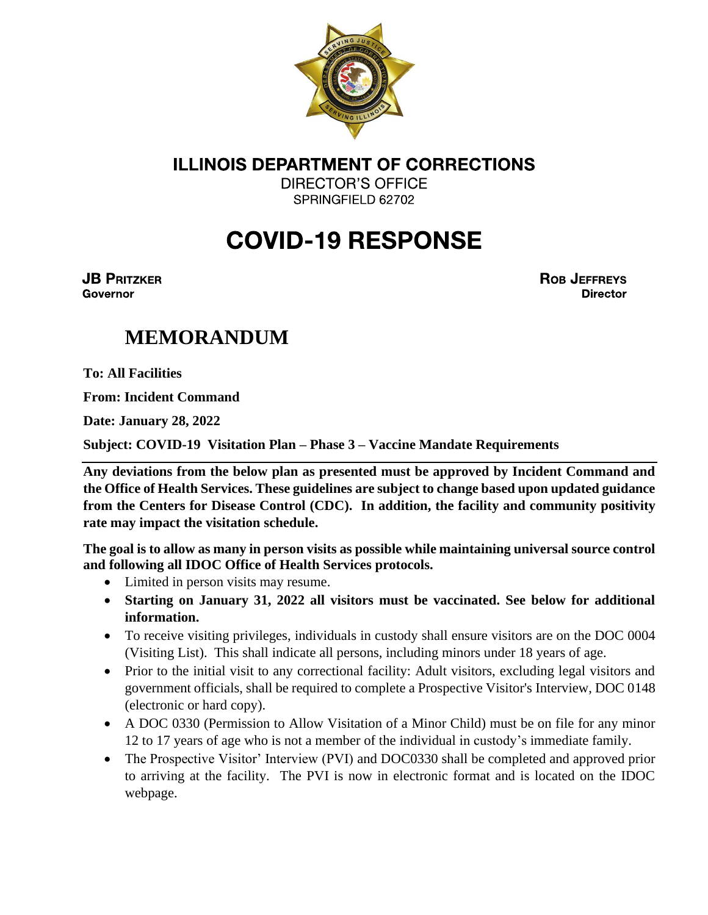

**DIRECTOR'S OFFICE** SPRINGFIELD 62702

## **COVID-19 RESPONSE**

**JB PRITZKER Governor** 

**ROB JEFFREYS Director** 

## **MEMORANDUM**

**To: All Facilities**

**From: Incident Command**

**Date: January 28, 2022**

**Subject: COVID-19 Visitation Plan – Phase 3 – Vaccine Mandate Requirements**

**Any deviations from the below plan as presented must be approved by Incident Command and the Office of Health Services. These guidelines are subject to change based upon updated guidance from the Centers for Disease Control (CDC). In addition, the facility and community positivity rate may impact the visitation schedule.**

**The goal is to allow as many in person visits as possible while maintaining universal source control and following all IDOC Office of Health Services protocols.** 

- Limited in person visits may resume.
- **Starting on January 31, 2022 all visitors must be vaccinated. See below for additional information.**
- To receive visiting privileges, individuals in custody shall ensure visitors are on the DOC 0004 (Visiting List). This shall indicate all persons, including minors under 18 years of age.
- Prior to the initial visit to any correctional facility: Adult visitors, excluding legal visitors and government officials, shall be required to complete a Prospective Visitor's Interview, DOC 0148 (electronic or hard copy).
- A DOC 0330 (Permission to Allow Visitation of a Minor Child) must be on file for any minor 12 to 17 years of age who is not a member of the individual in custody's immediate family.
- The Prospective Visitor' Interview (PVI) and DOC0330 shall be completed and approved prior to arriving at the facility. The PVI is now in electronic format and is located on the IDOC webpage.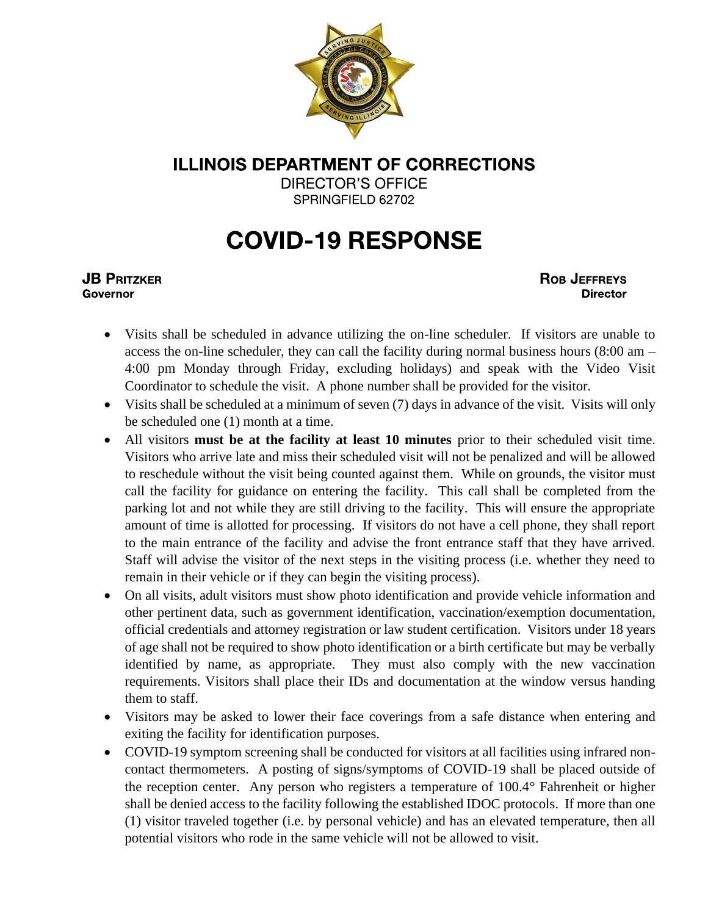

DIRECTOR'S OFFICE SPRINGFIELD 62702

## **COVID-19 RESPONSE**

#### **JB PRITZKER Governor**

**ROB JEFFREYS Director** 

- Visits shall be scheduled in advance utilizing the on-line scheduler. If visitors are unable to access the on-line scheduler, they can call the facility during normal business hours (8:00 am – 4:00 pm Monday through Friday, excluding holidays) and speak with the Video Visit Coordinator to schedule the visit. A phone number shall be provided for the visitor.
- Visits shall be scheduled at a minimum of seven (7) days in advance of the visit. Visits will only be scheduled one (1) month at a time.
- All visitors **must be at the facility at least 10 minutes** prior to their scheduled visit time. Visitors who arrive late and miss their scheduled visit will not be penalized and will be allowed to reschedule without the visit being counted against them. While on grounds, the visitor must call the facility for guidance on entering the facility. This call shall be completed from the parking lot and not while they are still driving to the facility. This will ensure the appropriate amount of time is allotted for processing. If visitors do not have a cell phone, they shall report to the main entrance of the facility and advise the front entrance staff that they have arrived. Staff will advise the visitor of the next steps in the visiting process (i.e. whether they need to remain in their vehicle or if they can begin the visiting process).
- On all visits, adult visitors must show photo identification and provide vehicle information and other pertinent data, such as government identification, vaccination/exemption documentation, official credentials and attorney registration or law student certification. Visitors under 18 years of age shall not be required to show photo identification or a birth certificate but may be verbally identified by name, as appropriate. They must also comply with the new vaccination requirements. Visitors shall place their IDs and documentation at the window versus handing them to staff.
- Visitors may be asked to lower their face coverings from a safe distance when entering and exiting the facility for identification purposes.
- COVID-19 symptom screening shall be conducted for visitors at all facilities using infrared noncontact thermometers. A posting of signs/symptoms of COVID-19 shall be placed outside of the reception center. Any person who registers a temperature of 100.4° Fahrenheit or higher shall be denied access to the facility following the established IDOC protocols. If more than one (1) visitor traveled together (i.e. by personal vehicle) and has an elevated temperature, then all potential visitors who rode in the same vehicle will not be allowed to visit.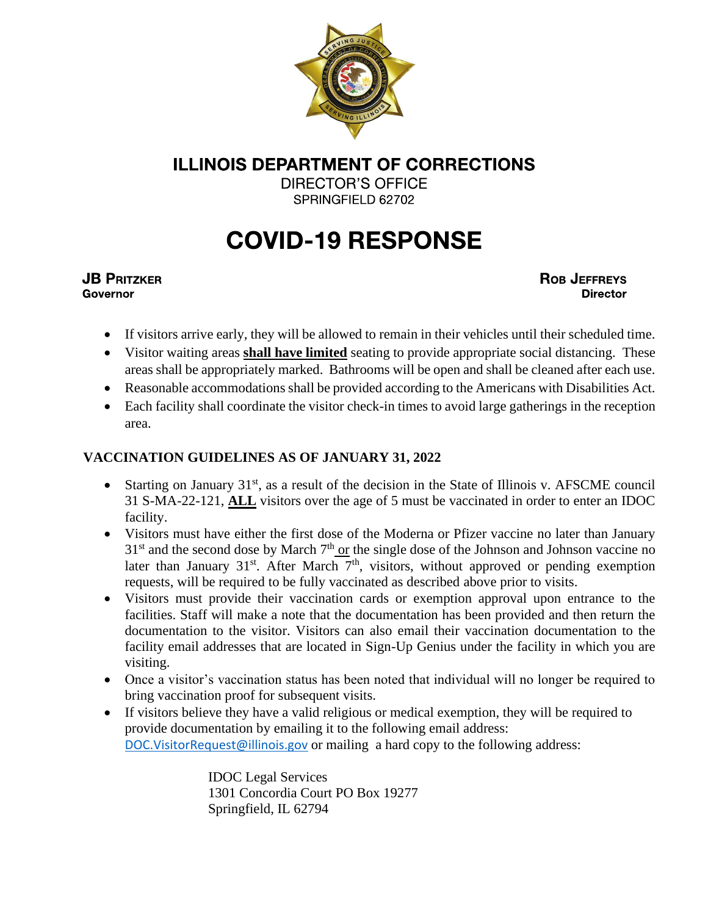

**DIRECTOR'S OFFICE** SPRINGFIELD 62702

# **COVID-19 RESPONSE**

#### **JB PRITZKER Governor**

**ROB JEFFREYS Director** 

- If visitors arrive early, they will be allowed to remain in their vehicles until their scheduled time.
- Visitor waiting areas **shall have limited** seating to provide appropriate social distancing. These areas shall be appropriately marked. Bathrooms will be open and shall be cleaned after each use.
- Reasonable accommodations shall be provided according to the Americans with Disabilities Act.
- Each facility shall coordinate the visitor check-in times to avoid large gatherings in the reception area.

### **VACCINATION GUIDELINES AS OF JANUARY 31, 2022**

- Starting on January 31<sup>st</sup>, as a result of the decision in the State of Illinois v. AFSCME council 31 S-MA-22-121, **ALL** visitors over the age of 5 must be vaccinated in order to enter an IDOC facility.
- Visitors must have either the first dose of the Moderna or Pfizer vaccine no later than January  $31<sup>st</sup>$  and the second dose by March  $7<sup>th</sup>$  or the single dose of the Johnson and Johnson vaccine no later than January  $31^{st}$ . After March  $7^{th}$ , visitors, without approved or pending exemption requests, will be required to be fully vaccinated as described above prior to visits.
- Visitors must provide their vaccination cards or exemption approval upon entrance to the facilities. Staff will make a note that the documentation has been provided and then return the documentation to the visitor. Visitors can also email their vaccination documentation to the facility email addresses that are located in Sign-Up Genius under the facility in which you are visiting.
- Once a visitor's vaccination status has been noted that individual will no longer be required to bring vaccination proof for subsequent visits.
- If visitors believe they have a valid religious or medical exemption, they will be required to provide documentation by emailing it to the following email address: [DOC.VisitorRequest@illinois.gov](mailto:DOC.VisitorRequest@illinois.gov) or mailing a hard copy to the following address:

IDOC Legal Services 1301 Concordia Court PO Box 19277 Springfield, IL 62794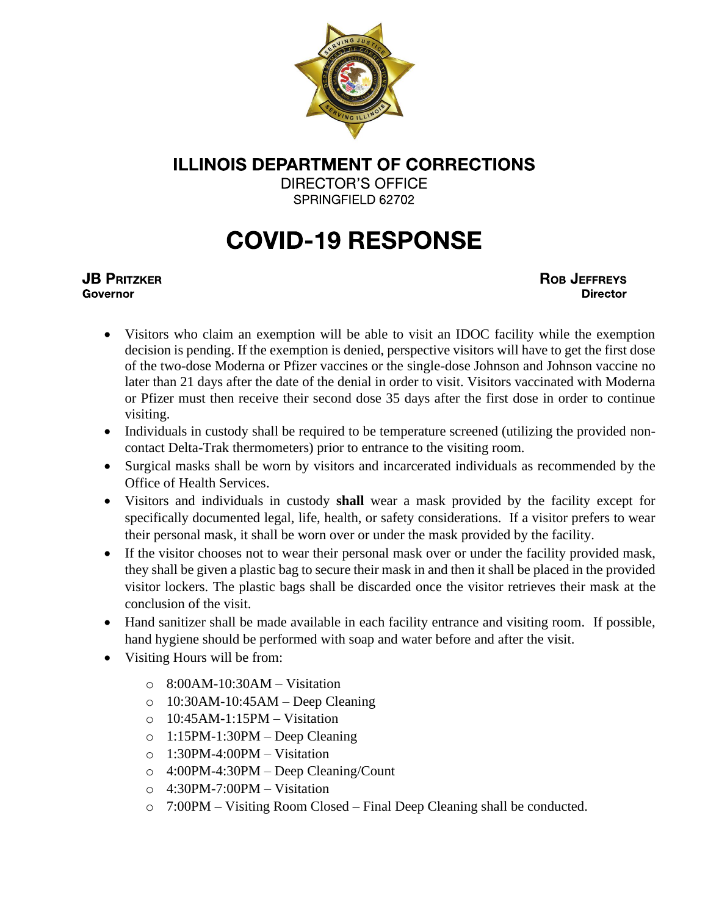

**DIRECTOR'S OFFICE** SPRINGFIELD 62702

## **COVID-19 RESPONSE**

#### **JB PRITZKER Governor**

**ROB JEFFREYS Director** 

- Visitors who claim an exemption will be able to visit an IDOC facility while the exemption decision is pending. If the exemption is denied, perspective visitors will have to get the first dose of the two-dose Moderna or Pfizer vaccines or the single-dose Johnson and Johnson vaccine no later than 21 days after the date of the denial in order to visit. Visitors vaccinated with Moderna or Pfizer must then receive their second dose 35 days after the first dose in order to continue visiting.
- Individuals in custody shall be required to be temperature screened (utilizing the provided noncontact Delta-Trak thermometers) prior to entrance to the visiting room.
- Surgical masks shall be worn by visitors and incarcerated individuals as recommended by the Office of Health Services.
- Visitors and individuals in custody **shall** wear a mask provided by the facility except for specifically documented legal, life, health, or safety considerations. If a visitor prefers to wear their personal mask, it shall be worn over or under the mask provided by the facility.
- If the visitor chooses not to wear their personal mask over or under the facility provided mask, they shall be given a plastic bag to secure their mask in and then it shall be placed in the provided visitor lockers. The plastic bags shall be discarded once the visitor retrieves their mask at the conclusion of the visit.
- Hand sanitizer shall be made available in each facility entrance and visiting room. If possible, hand hygiene should be performed with soap and water before and after the visit.
- Visiting Hours will be from:
	- $\circ$  8:00AM-10:30AM Visitation
	- $\circ$  10:30AM-10:45AM Deep Cleaning
	- o 10:45AM-1:15PM Visitation
	- o 1:15PM-1:30PM Deep Cleaning
	- o 1:30PM-4:00PM Visitation
	- o 4:00PM-4:30PM Deep Cleaning/Count
	- o 4:30PM-7:00PM Visitation
	- o 7:00PM Visiting Room Closed Final Deep Cleaning shall be conducted.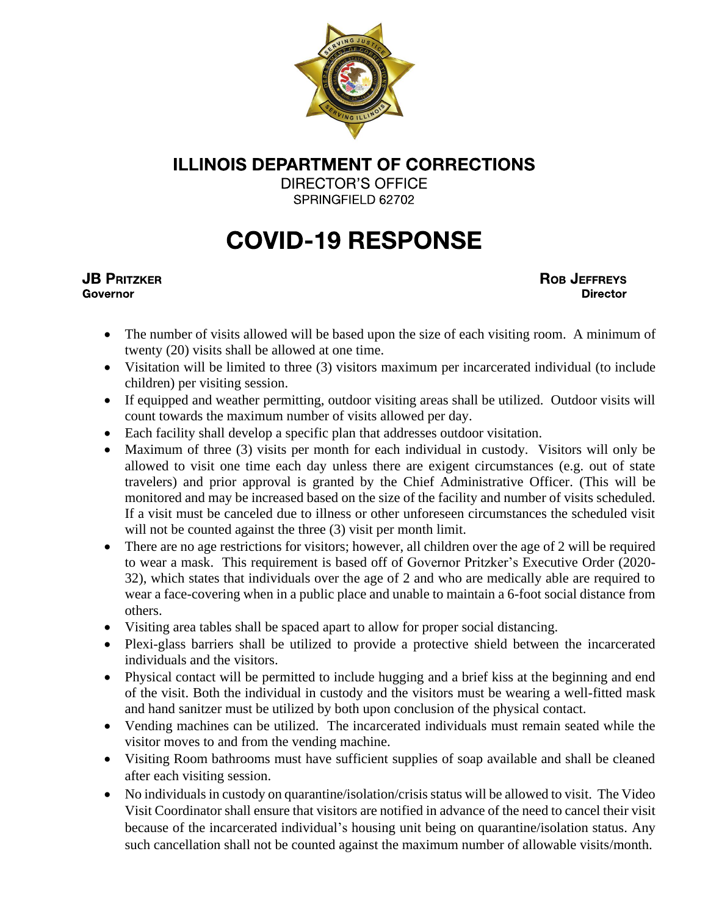

**DIRECTOR'S OFFICE** SPRINGFIELD 62702

## **COVID-19 RESPONSE**

#### **JB PRITZKER Governor**

**ROB JEFFREYS Director** 

- The number of visits allowed will be based upon the size of each visiting room. A minimum of twenty (20) visits shall be allowed at one time.
- Visitation will be limited to three (3) visitors maximum per incarcerated individual (to include children) per visiting session.
- If equipped and weather permitting, outdoor visiting areas shall be utilized. Outdoor visits will count towards the maximum number of visits allowed per day.
- Each facility shall develop a specific plan that addresses outdoor visitation.
- Maximum of three (3) visits per month for each individual in custody. Visitors will only be allowed to visit one time each day unless there are exigent circumstances (e.g. out of state travelers) and prior approval is granted by the Chief Administrative Officer. (This will be monitored and may be increased based on the size of the facility and number of visits scheduled. If a visit must be canceled due to illness or other unforeseen circumstances the scheduled visit will not be counted against the three  $(3)$  visit per month limit.
- There are no age restrictions for visitors; however, all children over the age of 2 will be required to wear a mask. This requirement is based off of Governor Pritzker's Executive Order (2020- 32), which states that individuals over the age of 2 and who are medically able are required to wear a face-covering when in a public place and unable to maintain a 6-foot social distance from others.
- Visiting area tables shall be spaced apart to allow for proper social distancing.
- Plexi-glass barriers shall be utilized to provide a protective shield between the incarcerated individuals and the visitors.
- Physical contact will be permitted to include hugging and a brief kiss at the beginning and end of the visit. Both the individual in custody and the visitors must be wearing a well-fitted mask and hand sanitzer must be utilized by both upon conclusion of the physical contact.
- Vending machines can be utilized. The incarcerated individuals must remain seated while the visitor moves to and from the vending machine.
- Visiting Room bathrooms must have sufficient supplies of soap available and shall be cleaned after each visiting session.
- No individuals in custody on quarantine/isolation/crisis status will be allowed to visit. The Video Visit Coordinator shall ensure that visitors are notified in advance of the need to cancel their visit because of the incarcerated individual's housing unit being on quarantine/isolation status. Any such cancellation shall not be counted against the maximum number of allowable visits/month.